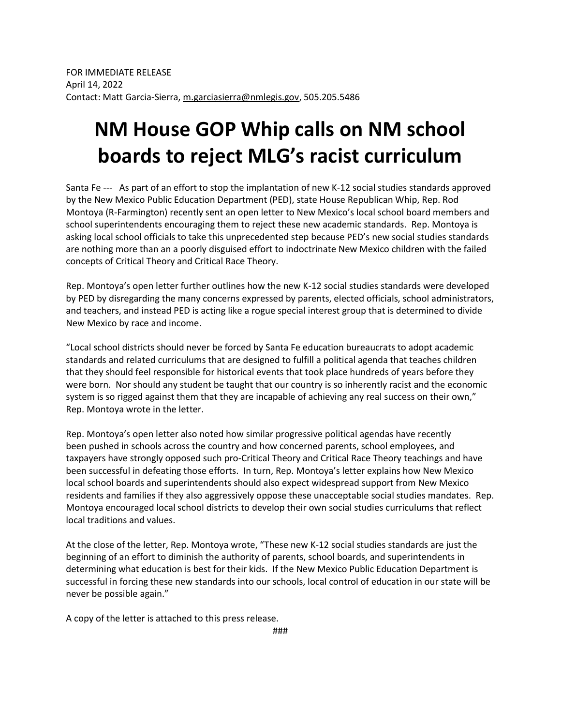## **NM House GOP Whip calls on NM school boards to reject MLG's racist curriculum**

Santa Fe --- As part of an effort to stop the implantation of new K-12 social studies standards approved by the New Mexico Public Education Department (PED), state House Republican Whip, Rep. Rod Montoya (R-Farmington) recently sent an open letter to New Mexico's local school board members and school superintendents encouraging them to reject these new academic standards. Rep. Montoya is asking local school officials to take this unprecedented step because PED's new social studies standards are nothing more than an a poorly disguised effort to indoctrinate New Mexico children with the failed concepts of Critical Theory and Critical Race Theory.

Rep. Montoya's open letter further outlines how the new K-12 social studies standards were developed by PED by disregarding the many concerns expressed by parents, elected officials, school administrators, and teachers, and instead PED is acting like a rogue special interest group that is determined to divide New Mexico by race and income.

"Local school districts should never be forced by Santa Fe education bureaucrats to adopt academic standards and related curriculums that are designed to fulfill a political agenda that teaches children that they should feel responsible for historical events that took place hundreds of years before they were born. Nor should any student be taught that our country is so inherently racist and the economic system is so rigged against them that they are incapable of achieving any real success on their own," Rep. Montoya wrote in the letter.

Rep. Montoya's open letter also noted how similar progressive political agendas have recently been pushed in schools across the country and how concerned parents, school employees, and taxpayers have strongly opposed such pro-Critical Theory and Critical Race Theory teachings and have been successful in defeating those efforts. In turn, Rep. Montoya's letter explains how New Mexico local school boards and superintendents should also expect widespread support from New Mexico residents and families if they also aggressively oppose these unacceptable social studies mandates. Rep. Montoya encouraged local school districts to develop their own social studies curriculums that reflect local traditions and values.

At the close of the letter, Rep. Montoya wrote, "These new K-12 social studies standards are just the beginning of an effort to diminish the authority of parents, school boards, and superintendents in determining what education is best for their kids. If the New Mexico Public Education Department is successful in forcing these new standards into our schools, local control of education in our state will be never be possible again."

A copy of the letter is attached to this press release.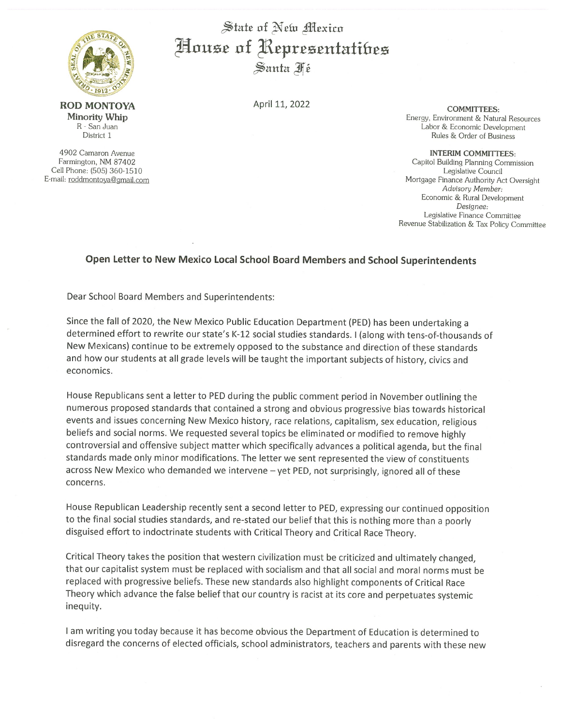

**ROD MONTOYA** Minority Whip R - San Juan District 1

4902 Camaron Avenue Farmington, NM 87402 Cell Phone: (505) 360-1510 E-mail: roddmontoya@gmail.com

State of New Mexico House of Representatibes Santa Fé

April 11, 2022

**COMMITTEES:** Energy, Environment & Natural Resources Labor & Economic Development Rules & Order of Business

## **INTERIM COMMITTEES:**

Capitol Building Planning Commission Legislative Council Mortgage Finance Authority Act Oversight Advisory Member: Economic & Rural Development Designee: Legislative Finance Committee Revenue Stabilization & Tax Policy Committee

## Open Letter to New Mexico Local School Board Members and School Superintendents

Dear School Board Members and Superintendents:

Since the fall of 2020, the New Mexico Public Education Department (PED) has been undertaking a determined effort to rewrite our state's K-12 social studies standards. I (along with tens-of-thousands of New Mexicans) continue to be extremely opposed to the substance and direction of these standards and how our students at all grade levels will be taught the important subjects of history, civics and economics.

House Republicans sent a letter to PED during the public comment period in November outlining the numerous proposed standards that contained a strong and obvious progressive bias towards historical events and issues concerning New Mexico history, race relations, capitalism, sex education, religious beliefs and social norms. We requested several topics be eliminated or modified to remove highly controversial and offensive subject matter which specifically advances a political agenda, but the final standards made only minor modifications. The letter we sent represented the view of constituents across New Mexico who demanded we intervene - yet PED, not surprisingly, ignored all of these concerns.

House Republican Leadership recently sent a second letter to PED, expressing our continued opposition to the final social studies standards, and re-stated our belief that this is nothing more than a poorly disguised effort to indoctrinate students with Critical Theory and Critical Race Theory.

Critical Theory takes the position that western civilization must be criticized and ultimately changed, that our capitalist system must be replaced with socialism and that all social and moral norms must be replaced with progressive beliefs. These new standards also highlight components of Critical Race Theory which advance the false belief that our country is racist at its core and perpetuates systemic inequity.

I am writing you today because it has become obvious the Department of Education is determined to disregard the concerns of elected officials, school administrators, teachers and parents with these new